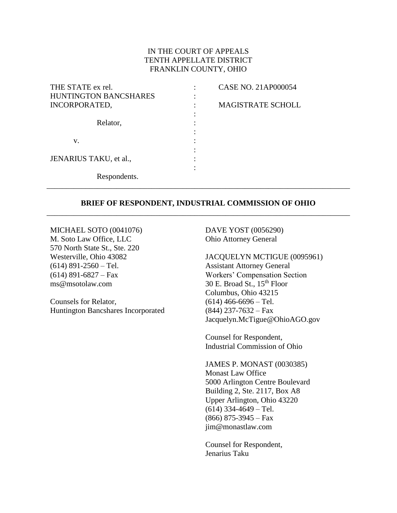#### IN THE COURT OF APPEALS TENTH APPELLATE DISTRICT FRANKLIN COUNTY, OHIO

| THE STATE ex rel.      | <b>CASE NO. 21AP000054</b> |
|------------------------|----------------------------|
| HUNTINGTON BANCSHARES  |                            |
| INCORPORATED,          | <b>MAGISTRATE SCHOLL</b>   |
|                        |                            |
| Relator,               |                            |
|                        |                            |
| V.                     |                            |
|                        |                            |
| JENARIUS TAKU, et al., |                            |
|                        |                            |
| Respondents.           |                            |

#### **BRIEF OF RESPONDENT, INDUSTRIAL COMMISSION OF OHIO** \_\_\_\_\_\_\_\_\_\_\_\_\_\_\_\_\_\_\_\_\_\_\_\_\_\_\_\_\_\_\_\_\_\_\_\_\_\_\_\_\_\_\_\_\_\_\_\_\_\_\_\_\_\_\_\_\_\_\_\_\_\_\_\_\_\_\_\_\_\_\_\_\_\_\_\_\_\_

\_\_\_\_\_\_\_\_\_\_\_\_\_\_\_\_\_\_\_\_\_\_\_\_\_\_\_\_\_\_\_\_\_\_\_\_\_\_\_\_\_\_\_\_\_\_\_\_\_\_\_\_\_\_\_\_\_\_\_\_\_\_\_\_\_\_\_\_\_\_\_\_\_\_\_\_\_\_

MICHAEL SOTO (0041076) M. Soto Law Office, LLC 570 North State St., Ste. 220 Westerville, Ohio 43082  $(614)$  891-2560 – Tel.  $(614)$  891-6827 – Fax ms@msotolaw.com

Counsels for Relator, Huntington Bancshares Incorporated DAVE YOST (0056290) Ohio Attorney General

JACQUELYN MCTIGUE (0095961) Assistant Attorney General Workers' Compensation Section  $30$  E. Broad St.,  $15<sup>th</sup>$  Floor Columbus, Ohio 43215  $(614)$  466-6696 – Tel.  $(844)$  237-7632 – Fax Jacquelyn.McTigue@OhioAGO.gov

Counsel for Respondent, Industrial Commission of Ohio

JAMES P. MONAST (0030385) Monast Law Office 5000 Arlington Centre Boulevard Building 2, Ste. 2117, Box A8 Upper Arlington, Ohio 43220  $(614)$  334-4649 – Tel.  $(866)$  875-3945 – Fax jim@monastlaw.com

Counsel for Respondent, Jenarius Taku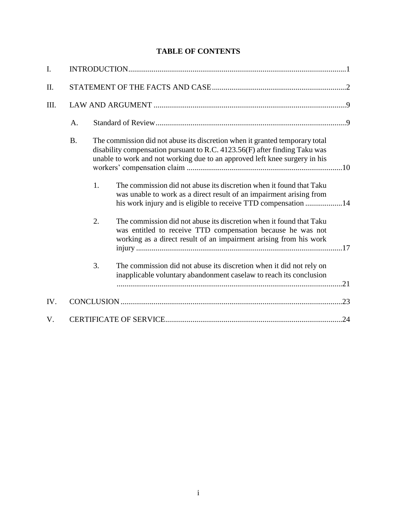## **TABLE OF CONTENTS**

| $\mathbf{I}$ . |           |    |                                                                                                                                                                                                                                           |  |
|----------------|-----------|----|-------------------------------------------------------------------------------------------------------------------------------------------------------------------------------------------------------------------------------------------|--|
| II.            |           |    |                                                                                                                                                                                                                                           |  |
| III.           |           |    |                                                                                                                                                                                                                                           |  |
|                | A.        |    |                                                                                                                                                                                                                                           |  |
|                | <b>B.</b> |    | The commission did not abuse its discretion when it granted temporary total<br>disability compensation pursuant to R.C. $4123.56(F)$ after finding Taku was<br>unable to work and not working due to an approved left knee surgery in his |  |
|                |           | 1. | The commission did not abuse its discretion when it found that Taku<br>was unable to work as a direct result of an impairment arising from<br>his work injury and is eligible to receive TTD compensation 14                              |  |
|                |           | 2. | The commission did not abuse its discretion when it found that Taku<br>was entitled to receive TTD compensation because he was not<br>working as a direct result of an impairment arising from his work                                   |  |
|                |           | 3. | The commission did not abuse its discretion when it did not rely on<br>inapplicable voluntary abandonment caselaw to reach its conclusion                                                                                                 |  |
| IV.            |           |    |                                                                                                                                                                                                                                           |  |
| V.             |           |    |                                                                                                                                                                                                                                           |  |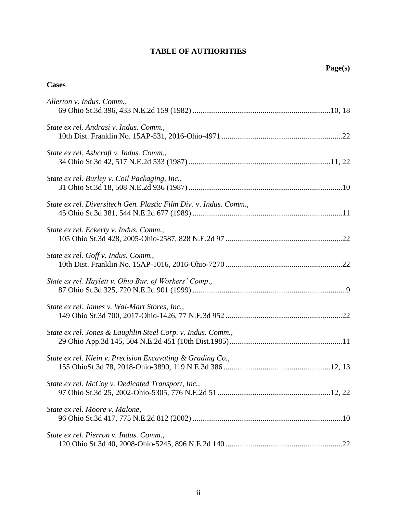### **TABLE OF AUTHORITIES**

### **Cases**

| Allerton v. Indus. Comm.,                                         |
|-------------------------------------------------------------------|
| State ex rel. Andrasi v. Indus. Comm.,                            |
| State ex rel. Ashcraft v. Indus. Comm.,                           |
| State ex rel. Burley v. Coil Packaging, Inc.,                     |
| State ex rel. Diversitech Gen. Plastic Film Div. v. Indus. Comm., |
| State ex rel. Eckerly v. Indus. Comm.,                            |
| State ex rel. Goff v. Indus. Comm.,                               |
| State ex rel. Haylett v. Ohio Bur. of Workers' Comp.,             |
| State ex rel. James v. Wal-Mart Stores, Inc.,                     |
| State ex rel. Jones & Laughlin Steel Corp. v. Indus. Comm.,       |
| State ex rel. Klein v. Precision Excavating & Grading Co.,        |
| State ex rel. McCoy v. Dedicated Transport, Inc.,                 |
| State ex rel. Moore v. Malone,                                    |
| State ex rel. Pierron v. Indus. Comm.,                            |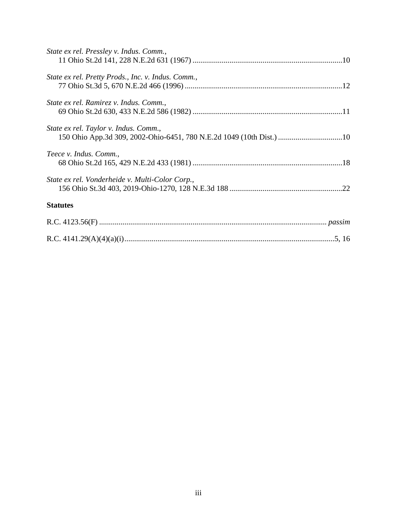| State ex rel. Pressley v. Indus. Comm.,                                                                       |  |
|---------------------------------------------------------------------------------------------------------------|--|
| State ex rel. Pretty Prods., Inc. v. Indus. Comm.,                                                            |  |
| State ex rel. Ramirez v. Indus. Comm.,                                                                        |  |
| State ex rel. Taylor v. Indus. Comm.,<br>150 Ohio App.3d 309, 2002-Ohio-6451, 780 N.E.2d 1049 (10th Dist.) 10 |  |
| Teece v. Indus. Comm.,                                                                                        |  |
| State ex rel. Vonderheide v. Multi-Color Corp.,                                                               |  |
| <b>Statutes</b>                                                                                               |  |
|                                                                                                               |  |
|                                                                                                               |  |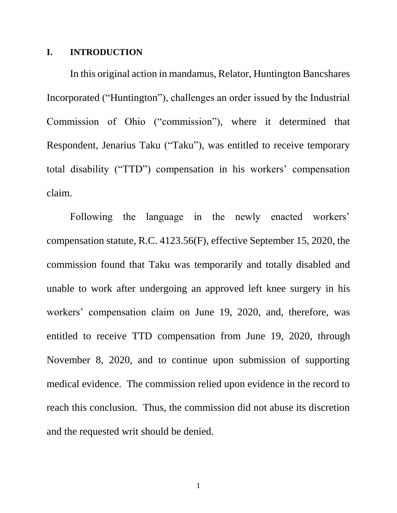### **I. INTRODUCTION**

In this original action in mandamus, Relator, Huntington Bancshares Incorporated ("Huntington"), challenges an order issued by the Industrial Commission of Ohio ("commission"), where it determined that Respondent, Jenarius Taku ("Taku"), was entitled to receive temporary total disability ("TTD") compensation in his workers' compensation claim.

<span id="page-4-0"></span>Following the language in the newly enacted workers' compensation statute, R.C. 4123.56(F), effective September 15, 2020, the commission found that Taku was temporarily and totally disabled and unable to work after undergoing an approved left knee surgery in his workers' compensation claim on June 19, 2020, and, therefore, was entitled to receive TTD compensation from June 19, 2020, through November 8, 2020, and to continue upon submission of supporting medical evidence. The commission relied upon evidence in the record to reach this conclusion. Thus, the commission did not abuse its discretion and the requested writ should be denied.

1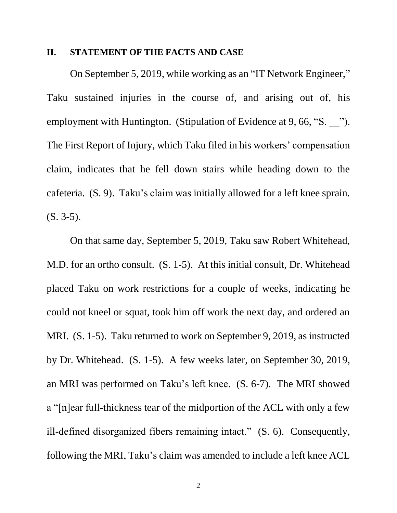#### **II. STATEMENT OF THE FACTS AND CASE**

On September 5, 2019, while working as an "IT Network Engineer," Taku sustained injuries in the course of, and arising out of, his employment with Huntington. (Stipulation of Evidence at 9, 66, "S. <sup>7</sup>"). The First Report of Injury, which Taku filed in his workers' compensation claim, indicates that he fell down stairs while heading down to the cafeteria. (S. 9). Taku's claim was initially allowed for a left knee sprain. (S. 3-5).

On that same day, September 5, 2019, Taku saw Robert Whitehead, M.D. for an ortho consult. (S. 1-5). At this initial consult, Dr. Whitehead placed Taku on work restrictions for a couple of weeks, indicating he could not kneel or squat, took him off work the next day, and ordered an MRI. (S. 1-5). Taku returned to work on September 9, 2019, as instructed by Dr. Whitehead. (S. 1-5). A few weeks later, on September 30, 2019, an MRI was performed on Taku's left knee. (S. 6-7). The MRI showed a "[n]ear full-thickness tear of the midportion of the ACL with only a few ill-defined disorganized fibers remaining intact." (S. 6). Consequently, following the MRI, Taku's claim was amended to include a left knee ACL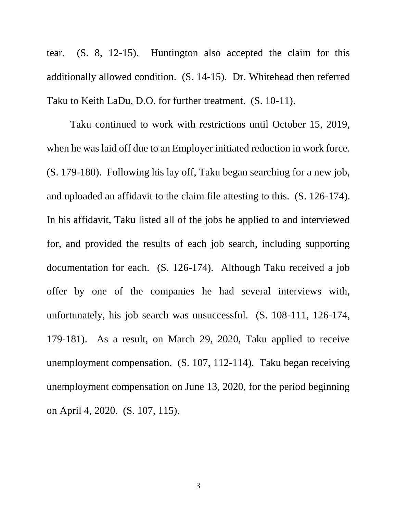tear. (S. 8, 12-15). Huntington also accepted the claim for this additionally allowed condition. (S. 14-15). Dr. Whitehead then referred Taku to Keith LaDu, D.O. for further treatment. (S. 10-11).

Taku continued to work with restrictions until October 15, 2019, when he was laid off due to an Employer initiated reduction in work force. (S. 179-180). Following his lay off, Taku began searching for a new job, and uploaded an affidavit to the claim file attesting to this. (S. 126-174). In his affidavit, Taku listed all of the jobs he applied to and interviewed for, and provided the results of each job search, including supporting documentation for each. (S. 126-174). Although Taku received a job offer by one of the companies he had several interviews with, unfortunately, his job search was unsuccessful. (S. 108-111, 126-174, 179-181). As a result, on March 29, 2020, Taku applied to receive unemployment compensation. (S. 107, 112-114). Taku began receiving unemployment compensation on June 13, 2020, for the period beginning on April 4, 2020. (S. 107, 115).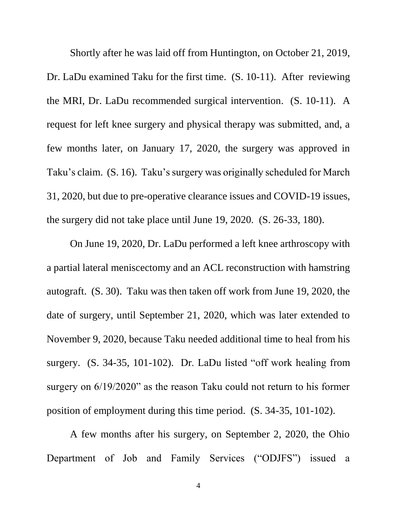Shortly after he was laid off from Huntington, on October 21, 2019, Dr. LaDu examined Taku for the first time. (S. 10-11). After reviewing the MRI, Dr. LaDu recommended surgical intervention. (S. 10-11). A request for left knee surgery and physical therapy was submitted, and, a few months later, on January 17, 2020, the surgery was approved in Taku's claim. (S. 16). Taku's surgery was originally scheduled for March 31, 2020, but due to pre-operative clearance issues and COVID-19 issues, the surgery did not take place until June 19, 2020. (S. 26-33, 180).

On June 19, 2020, Dr. LaDu performed a left knee arthroscopy with a partial lateral meniscectomy and an ACL reconstruction with hamstring autograft. (S. 30). Taku was then taken off work from June 19, 2020, the date of surgery, until September 21, 2020, which was later extended to November 9, 2020, because Taku needed additional time to heal from his surgery. (S. 34-35, 101-102). Dr. LaDu listed "off work healing from surgery on  $6/19/2020$ " as the reason Taku could not return to his former position of employment during this time period. (S. 34-35, 101-102).

A few months after his surgery, on September 2, 2020, the Ohio Department of Job and Family Services ("ODJFS") issued a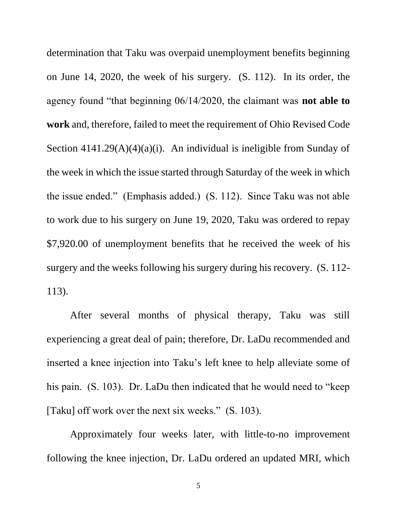<span id="page-8-0"></span>determination that Taku was overpaid unemployment benefits beginning on June 14, 2020, the week of his surgery. (S. 112). In its order, the agency found "that beginning 06/14/2020, the claimant was **not able to work** and, therefore, failed to meet the requirement of Ohio Revised Code Section  $4141.29(A)(4)(a)(i)$ . An individual is ineligible from Sunday of the week in which the issue started through Saturday of the week in which the issue ended." (Emphasis added.) (S. 112). Since Taku was not able to work due to his surgery on June 19, 2020, Taku was ordered to repay \$7,920.00 of unemployment benefits that he received the week of his surgery and the weeks following his surgery during his recovery. (S. 112- 113).

After several months of physical therapy, Taku was still experiencing a great deal of pain; therefore, Dr. LaDu recommended and inserted a knee injection into Taku's left knee to help alleviate some of his pain. (S. 103). Dr. LaDu then indicated that he would need to "keep [Taku] off work over the next six weeks." (S. 103).

Approximately four weeks later, with little-to-no improvement following the knee injection, Dr. LaDu ordered an updated MRI, which

5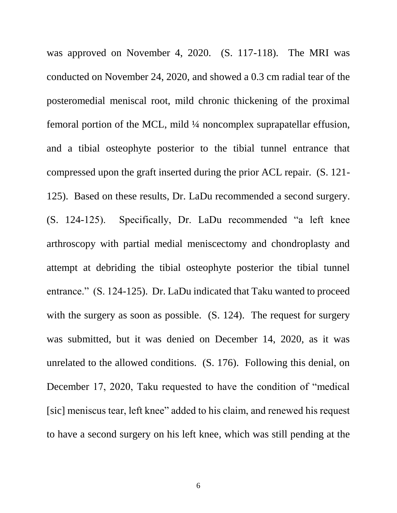was approved on November 4, 2020. (S. 117-118). The MRI was conducted on November 24, 2020, and showed a 0.3 cm radial tear of the posteromedial meniscal root, mild chronic thickening of the proximal femoral portion of the MCL, mild ¼ noncomplex suprapatellar effusion, and a tibial osteophyte posterior to the tibial tunnel entrance that compressed upon the graft inserted during the prior ACL repair. (S. 121- 125). Based on these results, Dr. LaDu recommended a second surgery. (S. 124-125). Specifically, Dr. LaDu recommended "a left knee arthroscopy with partial medial meniscectomy and chondroplasty and attempt at debriding the tibial osteophyte posterior the tibial tunnel entrance." (S. 124-125). Dr. LaDu indicated that Taku wanted to proceed with the surgery as soon as possible. (S. 124). The request for surgery was submitted, but it was denied on December 14, 2020, as it was unrelated to the allowed conditions. (S. 176). Following this denial, on December 17, 2020, Taku requested to have the condition of "medical [sic] meniscus tear, left knee" added to his claim, and renewed his request to have a second surgery on his left knee, which was still pending at the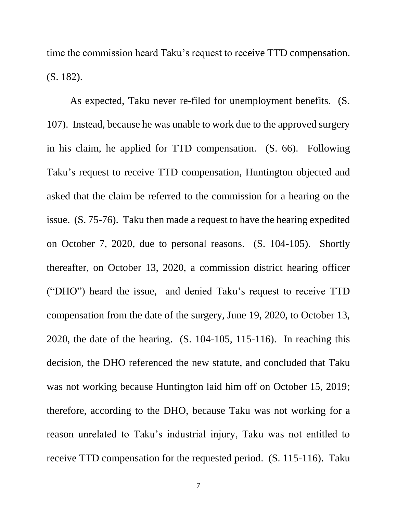time the commission heard Taku's request to receive TTD compensation. (S. 182).

As expected, Taku never re-filed for unemployment benefits. (S. 107). Instead, because he was unable to work due to the approved surgery in his claim, he applied for TTD compensation. (S. 66). Following Taku's request to receive TTD compensation, Huntington objected and asked that the claim be referred to the commission for a hearing on the issue. (S. 75-76). Taku then made a request to have the hearing expedited on October 7, 2020, due to personal reasons. (S. 104-105). Shortly thereafter, on October 13, 2020, a commission district hearing officer ("DHO") heard the issue, and denied Taku's request to receive TTD compensation from the date of the surgery, June 19, 2020, to October 13, 2020, the date of the hearing. (S. 104-105, 115-116). In reaching this decision, the DHO referenced the new statute, and concluded that Taku was not working because Huntington laid him off on October 15, 2019; therefore, according to the DHO, because Taku was not working for a reason unrelated to Taku's industrial injury, Taku was not entitled to receive TTD compensation for the requested period. (S. 115-116). Taku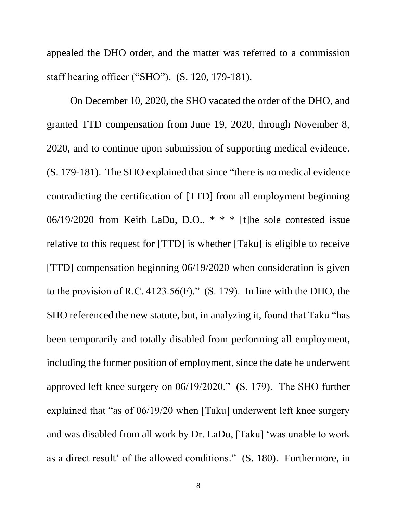appealed the DHO order, and the matter was referred to a commission staff hearing officer ("SHO"). (S. 120, 179-181).

On December 10, 2020, the SHO vacated the order of the DHO, and granted TTD compensation from June 19, 2020, through November 8, 2020, and to continue upon submission of supporting medical evidence. (S. 179-181). The SHO explained that since "there is no medical evidence contradicting the certification of [TTD] from all employment beginning 06/19/2020 from Keith LaDu, D.O., \* \* \* [t]he sole contested issue relative to this request for [TTD] is whether [Taku] is eligible to receive [TTD] compensation beginning 06/19/2020 when consideration is given to the provision of R.C. 4123.56 $(F)$ ." (S. 179). In line with the DHO, the SHO referenced the new statute, but, in analyzing it, found that Taku "has been temporarily and totally disabled from performing all employment, including the former position of employment, since the date he underwent approved left knee surgery on 06/19/2020." (S. 179). The SHO further explained that "as of 06/19/20 when [Taku] underwent left knee surgery and was disabled from all work by Dr. LaDu, [Taku] 'was unable to work as a direct result' of the allowed conditions." (S. 180). Furthermore, in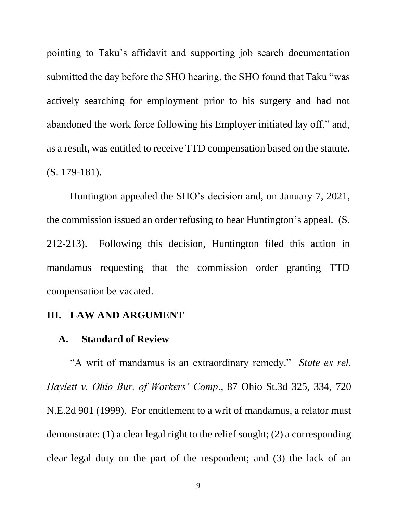pointing to Taku's affidavit and supporting job search documentation submitted the day before the SHO hearing, the SHO found that Taku "was actively searching for employment prior to his surgery and had not abandoned the work force following his Employer initiated lay off," and, as a result, was entitled to receive TTD compensation based on the statute. (S. 179-181).

Huntington appealed the SHO's decision and, on January 7, 2021, the commission issued an order refusing to hear Huntington's appeal. (S. 212-213). Following this decision, Huntington filed this action in mandamus requesting that the commission order granting TTD compensation be vacated.

## **III. LAW AND ARGUMENT**

### <span id="page-12-0"></span>**A. Standard of Review**

"A writ of mandamus is an extraordinary remedy." *State ex rel. Haylett v. Ohio Bur. of Workers' Comp*., 87 Ohio St.3d 325, 334, 720 N.E.2d 901 (1999). For entitlement to a writ of mandamus, a relator must demonstrate: (1) a clear legal right to the relief sought; (2) a corresponding clear legal duty on the part of the respondent; and (3) the lack of an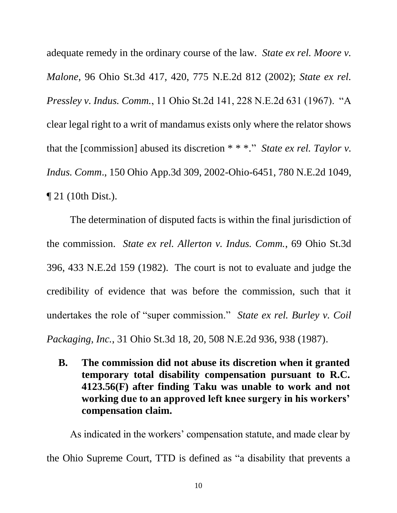<span id="page-13-3"></span><span id="page-13-2"></span>adequate remedy in the ordinary course of the law. *State ex rel. Moore v. Malone*, 96 Ohio St.3d 417, 420, 775 N.E.2d 812 (2002); *State ex rel. Pressley v. Indus. Comm.*, 11 Ohio St.2d 141, 228 N.E.2d 631 (1967). "A clear legal right to a writ of mandamus exists only where the relator shows that the [commission] abused its discretion \* \* \**.*" *State ex rel. Taylor v. Indus. Comm*., 150 Ohio App.3d 309, 2002-Ohio-6451, 780 N.E.2d 1049, ¶ 21 (10th Dist.).

<span id="page-13-4"></span><span id="page-13-0"></span>The determination of disputed facts is within the final jurisdiction of the commission. *State ex rel. Allerton v. Indus. Comm.*, 69 Ohio St.3d 396, 433 N.E.2d 159 (1982). The court is not to evaluate and judge the credibility of evidence that was before the commission, such that it undertakes the role of "super commission." *State ex rel. Burley v. Coil Packaging, Inc.*, 31 Ohio St.3d 18, 20, 508 N.E.2d 936, 938 (1987).

<span id="page-13-1"></span>**B. The commission did not abuse its discretion when it granted temporary total disability compensation pursuant to R.C. 4123.56(F) after finding Taku was unable to work and not working due to an approved left knee surgery in his workers' compensation claim.**

As indicated in the workers' compensation statute, and made clear by the Ohio Supreme Court, TTD is defined as "a disability that prevents a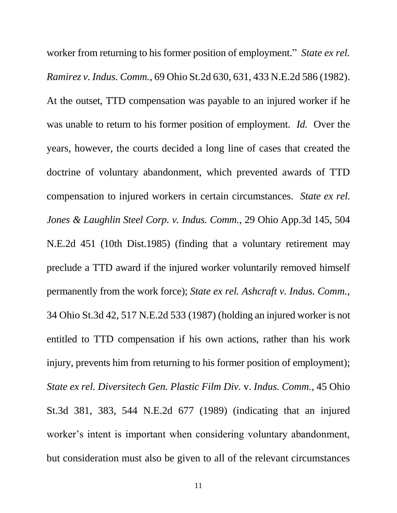<span id="page-14-3"></span><span id="page-14-2"></span><span id="page-14-1"></span><span id="page-14-0"></span>worker from returning to his former position of employment." *State ex rel. Ramirez v. Indus. Comm.*, 69 Ohio St.2d 630, 631, 433 N.E.2d 586 (1982). At the outset, TTD compensation was payable to an injured worker if he was unable to return to his former position of employment. *Id.* Over the years, however, the courts decided a long line of cases that created the doctrine of voluntary abandonment, which prevented awards of TTD compensation to injured workers in certain circumstances. *State ex rel. Jones & Laughlin Steel Corp. v. Indus. Comm.*, 29 Ohio App.3d 145, 504 N.E.2d 451 (10th Dist.1985) (finding that a voluntary retirement may preclude a TTD award if the injured worker voluntarily removed himself permanently from the work force); *State ex rel. Ashcraft v. Indus. Comm.*, 34 Ohio St.3d 42, 517 N.E.2d 533 (1987) (holding an injured worker is not entitled to TTD compensation if his own actions, rather than his work injury, prevents him from returning to his former position of employment); *State ex rel. Diversitech Gen. Plastic Film Div.* v. *Indus. Comm.,* 45 Ohio St.3d 381, 383, 544 N.E.2d 677 (1989) (indicating that an injured worker's intent is important when considering voluntary abandonment, but consideration must also be given to all of the relevant circumstances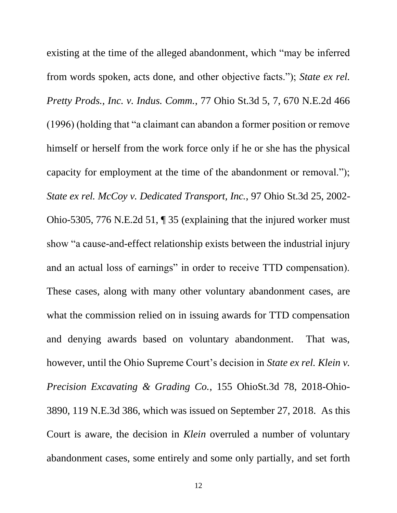<span id="page-15-2"></span><span id="page-15-1"></span><span id="page-15-0"></span>existing at the time of the alleged abandonment, which "may be inferred from words spoken, acts done, and other objective facts."); *State ex rel. Pretty Prods., Inc. v. Indus. Comm.*, 77 Ohio St.3d 5, 7, 670 N.E.2d 466 (1996) (holding that "a claimant can abandon a former position or remove himself or herself from the work force only if he or she has the physical capacity for employment at the time of the abandonment or removal."); *State ex rel. McCoy v. Dedicated Transport, Inc.*, 97 Ohio St.3d 25, 2002- Ohio-5305, 776 N.E.2d 51, ¶ 35 (explaining that the injured worker must show "a cause-and-effect relationship exists between the industrial injury and an actual loss of earnings" in order to receive TTD compensation). These cases, along with many other voluntary abandonment cases, are what the commission relied on in issuing awards for TTD compensation and denying awards based on voluntary abandonment. That was, however, until the Ohio Supreme Court's decision in *State ex rel. Klein v. Precision Excavating & Grading Co.*, 155 OhioSt.3d 78, 2018-Ohio-3890, 119 N.E.3d 386, which was issued on September 27, 2018. As this Court is aware, the decision in *Klein* overruled a number of voluntary abandonment cases, some entirely and some only partially, and set forth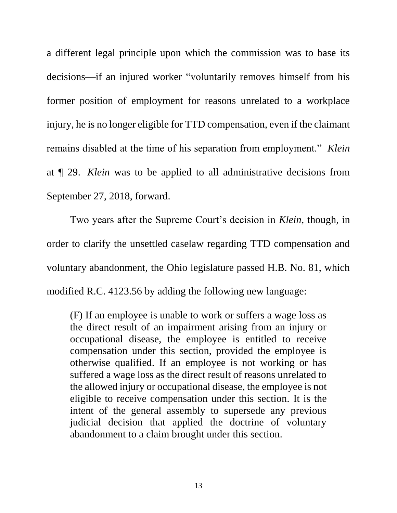a different legal principle upon which the commission was to base its decisions—if an injured worker "voluntarily removes himself from his former position of employment for reasons unrelated to a workplace injury, he is no longer eligible for TTD compensation, even if the claimant remains disabled at the time of his separation from employment." *Klein*  at ¶ 29. *Klein* was to be applied to all administrative decisions from September 27, 2018, forward.

<span id="page-16-0"></span>Two years after the Supreme Court's decision in *Klein*, though, in order to clarify the unsettled caselaw regarding TTD compensation and voluntary abandonment, the Ohio legislature passed H.B. No. 81, which modified R.C. 4123.56 by adding the following new language:

(F) If an employee is unable to work or suffers a wage loss as the direct result of an impairment arising from an injury or occupational disease, the employee is entitled to receive compensation under this section, provided the employee is otherwise qualified. If an employee is not working or has suffered a wage loss as the direct result of reasons unrelated to the allowed injury or occupational disease, the employee is not eligible to receive compensation under this section. It is the intent of the general assembly to supersede any previous judicial decision that applied the doctrine of voluntary abandonment to a claim brought under this section.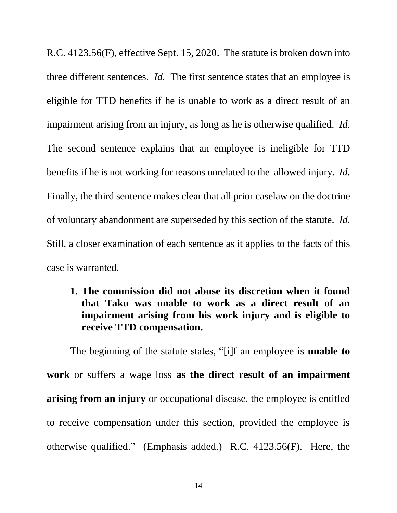R.C. 4123.56(F), effective Sept. 15, 2020. The statute is broken down into three different sentences. *Id.* The first sentence states that an employee is eligible for TTD benefits if he is unable to work as a direct result of an impairment arising from an injury, as long as he is otherwise qualified. *Id.*  The second sentence explains that an employee is ineligible for TTD benefits if he is not working for reasons unrelated to the allowed injury. *Id.*  Finally, the third sentence makes clear that all prior caselaw on the doctrine of voluntary abandonment are superseded by this section of the statute. *Id.*  Still, a closer examination of each sentence as it applies to the facts of this case is warranted.

# **1. The commission did not abuse its discretion when it found that Taku was unable to work as a direct result of an impairment arising from his work injury and is eligible to receive TTD compensation.**

The beginning of the statute states, "[i]f an employee is **unable to work** or suffers a wage loss **as the direct result of an impairment arising from an injury** or occupational disease, the employee is entitled to receive compensation under this section, provided the employee is otherwise qualified." (Emphasis added.) R.C. 4123.56(F). Here, the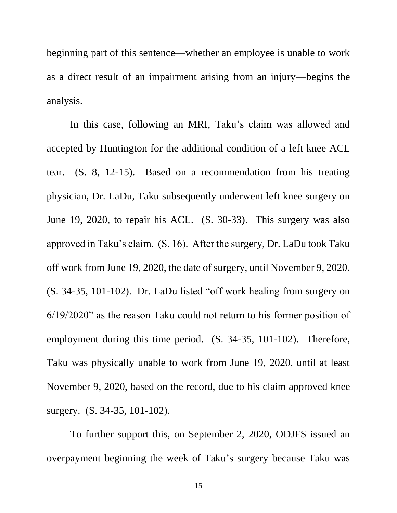beginning part of this sentence—whether an employee is unable to work as a direct result of an impairment arising from an injury—begins the analysis.

In this case, following an MRI, Taku's claim was allowed and accepted by Huntington for the additional condition of a left knee ACL tear. (S. 8, 12-15). Based on a recommendation from his treating physician, Dr. LaDu, Taku subsequently underwent left knee surgery on June 19, 2020, to repair his ACL. (S. 30-33). This surgery was also approved in Taku's claim. (S. 16). After the surgery, Dr. LaDu took Taku off work from June 19, 2020, the date of surgery, until November 9, 2020. (S. 34-35, 101-102). Dr. LaDu listed "off work healing from surgery on 6/19/2020" as the reason Taku could not return to his former position of employment during this time period. (S. 34-35, 101-102). Therefore, Taku was physically unable to work from June 19, 2020, until at least November 9, 2020, based on the record, due to his claim approved knee surgery. (S. 34-35, 101-102).

To further support this, on September 2, 2020, ODJFS issued an overpayment beginning the week of Taku's surgery because Taku was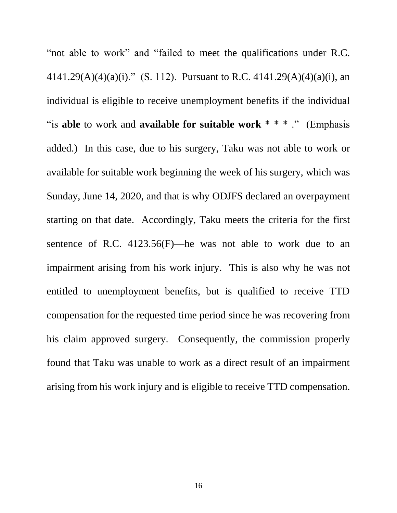<span id="page-19-0"></span>"not able to work" and "failed to meet the qualifications under R.C. 4141.29(A)(4)(a)(i)." (S. 112). Pursuant to R.C. 4141.29(A)(4)(a)(i), an individual is eligible to receive unemployment benefits if the individual "is **able** to work and **available for suitable work** \* \* \* ." (Emphasis added.) In this case, due to his surgery, Taku was not able to work or available for suitable work beginning the week of his surgery, which was Sunday, June 14, 2020, and that is why ODJFS declared an overpayment starting on that date. Accordingly, Taku meets the criteria for the first sentence of R.C.  $4123.56(F)$ —he was not able to work due to an impairment arising from his work injury. This is also why he was not entitled to unemployment benefits, but is qualified to receive TTD compensation for the requested time period since he was recovering from his claim approved surgery. Consequently, the commission properly found that Taku was unable to work as a direct result of an impairment arising from his work injury and is eligible to receive TTD compensation.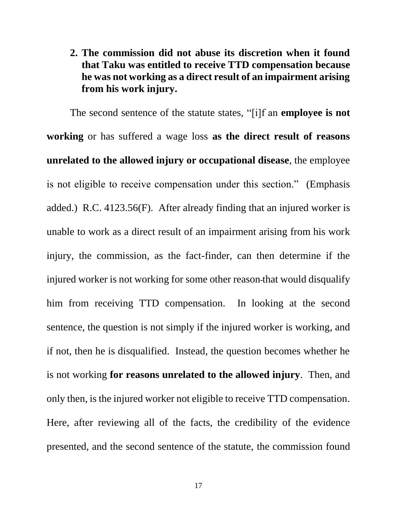**2. The commission did not abuse its discretion when it found that Taku was entitled to receive TTD compensation because he was not working as a direct result of an impairment arising from his work injury.**

The second sentence of the statute states, "[i]f an **employee is not working** or has suffered a wage loss **as the direct result of reasons unrelated to the allowed injury or occupational disease**, the employee is not eligible to receive compensation under this section." (Emphasis added.) R.C. 4123.56(F). After already finding that an injured worker is unable to work as a direct result of an impairment arising from his work injury, the commission, as the fact-finder, can then determine if the injured worker is not working for some other reason that would disqualify him from receiving TTD compensation. In looking at the second sentence, the question is not simply if the injured worker is working, and if not, then he is disqualified. Instead, the question becomes whether he is not working **for reasons unrelated to the allowed injury**. Then, and only then, is the injured worker not eligible to receive TTD compensation. Here, after reviewing all of the facts, the credibility of the evidence presented, and the second sentence of the statute, the commission found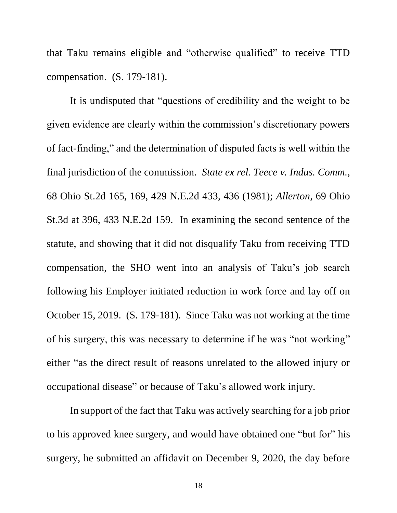that Taku remains eligible and "otherwise qualified" to receive TTD compensation. (S. 179-181).

<span id="page-21-1"></span><span id="page-21-0"></span>It is undisputed that "questions of credibility and the weight to be given evidence are clearly within the commission's discretionary powers of fact-finding," and the determination of disputed facts is well within the final jurisdiction of the commission. *State ex rel. Teece v. Indus. Comm.*, 68 Ohio St.2d 165, 169, 429 N.E.2d 433, 436 (1981); *Allerton*, 69 Ohio St.3d at 396, 433 N.E.2d 159. In examining the second sentence of the statute, and showing that it did not disqualify Taku from receiving TTD compensation, the SHO went into an analysis of Taku's job search following his Employer initiated reduction in work force and lay off on October 15, 2019. (S. 179-181). Since Taku was not working at the time of his surgery, this was necessary to determine if he was "not working" either "as the direct result of reasons unrelated to the allowed injury or occupational disease" or because of Taku's allowed work injury.

In support of the fact that Taku was actively searching for a job prior to his approved knee surgery, and would have obtained one "but for" his surgery, he submitted an affidavit on December 9, 2020, the day before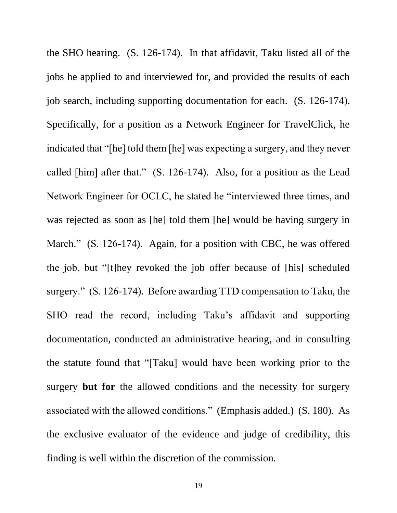the SHO hearing. (S. 126-174). In that affidavit, Taku listed all of the jobs he applied to and interviewed for, and provided the results of each job search, including supporting documentation for each. (S. 126-174). Specifically, for a position as a Network Engineer for TravelClick, he indicated that "[he] told them [he] was expecting a surgery, and they never called [him] after that." (S. 126-174). Also, for a position as the Lead Network Engineer for OCLC, he stated he "interviewed three times, and was rejected as soon as [he] told them [he] would be having surgery in March." (S. 126-174). Again, for a position with CBC, he was offered the job, but "[t]hey revoked the job offer because of [his] scheduled surgery." (S. 126-174). Before awarding TTD compensation to Taku, the SHO read the record, including Taku's affidavit and supporting documentation, conducted an administrative hearing, and in consulting the statute found that "[Taku] would have been working prior to the surgery **but for** the allowed conditions and the necessity for surgery associated with the allowed conditions." (Emphasis added.) (S. 180). As the exclusive evaluator of the evidence and judge of credibility, this finding is well within the discretion of the commission.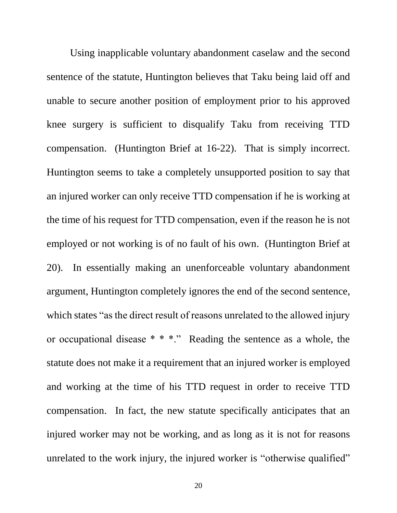Using inapplicable voluntary abandonment caselaw and the second sentence of the statute, Huntington believes that Taku being laid off and unable to secure another position of employment prior to his approved knee surgery is sufficient to disqualify Taku from receiving TTD compensation. (Huntington Brief at 16-22). That is simply incorrect. Huntington seems to take a completely unsupported position to say that an injured worker can only receive TTD compensation if he is working at the time of his request for TTD compensation, even if the reason he is not employed or not working is of no fault of his own. (Huntington Brief at 20). In essentially making an unenforceable voluntary abandonment argument, Huntington completely ignores the end of the second sentence, which states "as the direct result of reasons unrelated to the allowed injury or occupational disease \* \* \*." Reading the sentence as a whole, the statute does not make it a requirement that an injured worker is employed and working at the time of his TTD request in order to receive TTD compensation. In fact, the new statute specifically anticipates that an injured worker may not be working, and as long as it is not for reasons unrelated to the work injury, the injured worker is "otherwise qualified"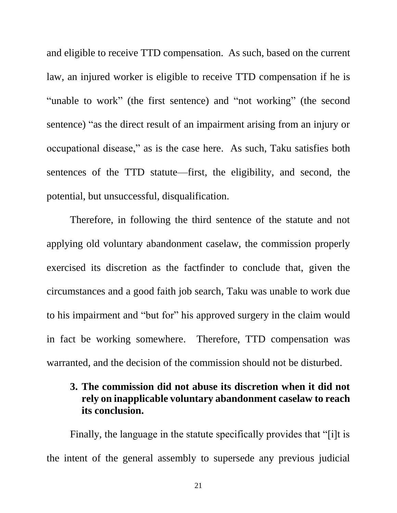and eligible to receive TTD compensation. As such, based on the current law, an injured worker is eligible to receive TTD compensation if he is "unable to work" (the first sentence) and "not working" (the second sentence) "as the direct result of an impairment arising from an injury or occupational disease," as is the case here. As such, Taku satisfies both sentences of the TTD statute—first, the eligibility, and second, the potential, but unsuccessful, disqualification.

Therefore, in following the third sentence of the statute and not applying old voluntary abandonment caselaw, the commission properly exercised its discretion as the factfinder to conclude that, given the circumstances and a good faith job search, Taku was unable to work due to his impairment and "but for" his approved surgery in the claim would in fact be working somewhere. Therefore, TTD compensation was warranted, and the decision of the commission should not be disturbed.

# **3. The commission did not abuse its discretion when it did not rely on inapplicable voluntary abandonment caselaw to reach its conclusion.**

Finally, the language in the statute specifically provides that "[i]t is the intent of the general assembly to supersede any previous judicial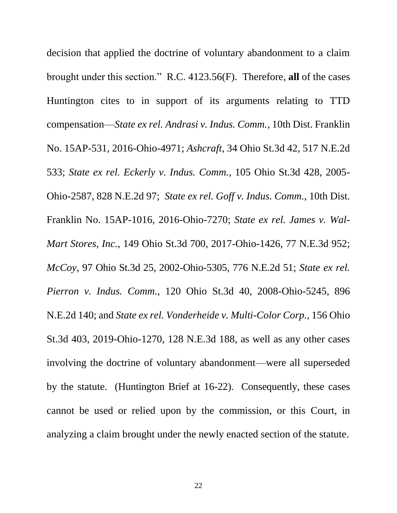<span id="page-25-7"></span><span id="page-25-6"></span><span id="page-25-5"></span><span id="page-25-4"></span><span id="page-25-3"></span><span id="page-25-2"></span><span id="page-25-1"></span><span id="page-25-0"></span>decision that applied the doctrine of voluntary abandonment to a claim brought under this section." R.C. 4123.56(F). Therefore, **all** of the cases Huntington cites to in support of its arguments relating to TTD compensation—*State ex rel. Andrasi v. Indus. Comm.*, 10th Dist. Franklin No. 15AP-531, 2016-Ohio-4971; *Ashcraft*, 34 Ohio St.3d 42, 517 N.E.2d 533; *State ex rel. Eckerly v. Indus. Comm.*, 105 Ohio St.3d 428, 2005- Ohio-2587, 828 N.E.2d 97; *State ex rel. Goff v. Indus. Comm.*, 10th Dist. Franklin No. 15AP-1016, 2016-Ohio-7270; *State ex rel. James v. Wal-Mart Stores, Inc.*, 149 Ohio St.3d 700, 2017-Ohio-1426, 77 N.E.3d 952; *McCoy*, 97 Ohio St.3d 25, 2002-Ohio-5305, 776 N.E.2d 51; *State ex rel. Pierron v. Indus. Comm.*, 120 Ohio St.3d 40, 2008-Ohio-5245, 896 N.E.2d 140; and *State ex rel. Vonderheide v. Multi-Color Corp.*, 156 Ohio St.3d 403, 2019-Ohio-1270, 128 N.E.3d 188, as well as any other cases involving the doctrine of voluntary abandonment—were all superseded by the statute. (Huntington Brief at 16-22). Consequently, these cases cannot be used or relied upon by the commission, or this Court, in analyzing a claim brought under the newly enacted section of the statute.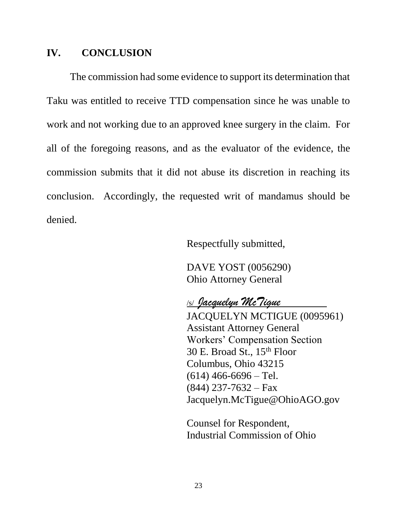# **IV. CONCLUSION**

The commission had some evidence to support its determination that Taku was entitled to receive TTD compensation since he was unable to work and not working due to an approved knee surgery in the claim. For all of the foregoing reasons, and as the evaluator of the evidence, the commission submits that it did not abuse its discretion in reaching its conclusion. Accordingly, the requested writ of mandamus should be denied.

Respectfully submitted,

DAVE YOST (0056290) Ohio Attorney General

## /s/ *Jacquelyn McTigue*

JACQUELYN MCTIGUE (0095961) Assistant Attorney General Workers' Compensation Section 30 E. Broad St., 15th Floor Columbus, Ohio 43215  $(614)$  466-6696 – Tel.  $(844)$  237-7632 – Fax Jacquelyn.McTigue@OhioAGO.gov

Counsel for Respondent, Industrial Commission of Ohio